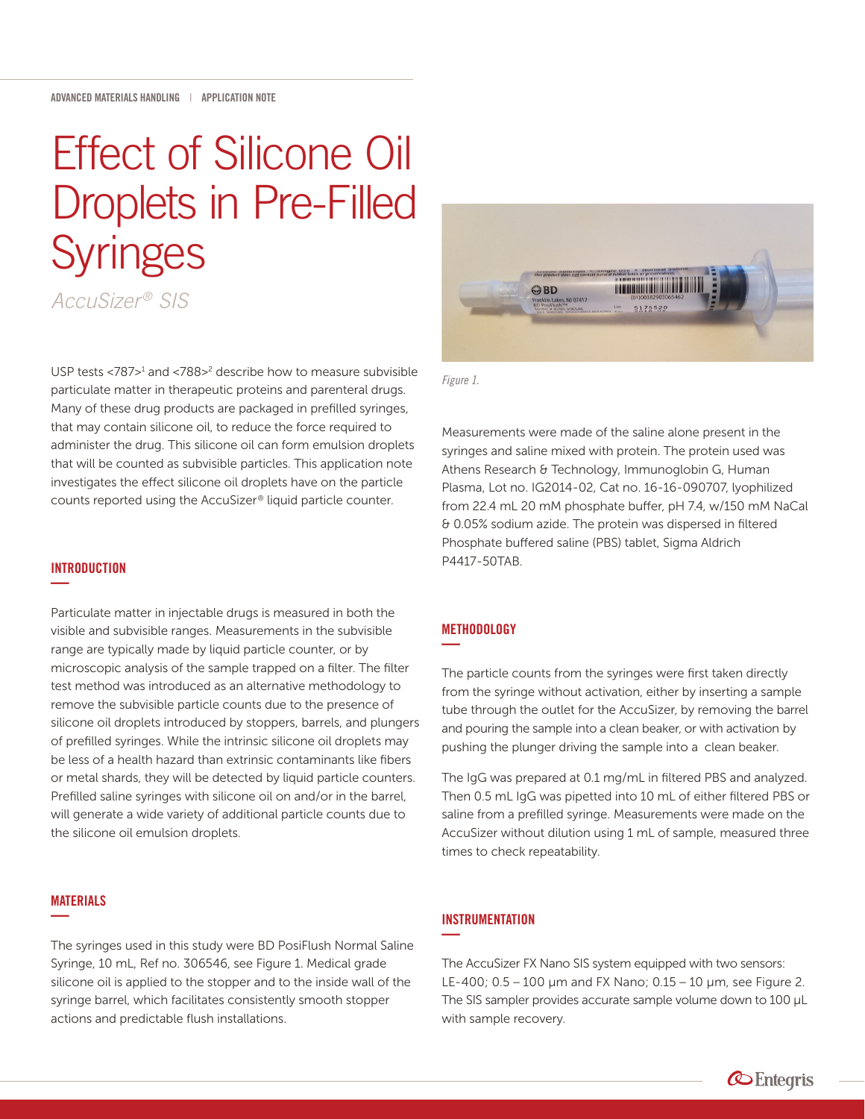# Effect of Silicone Oil Droplets in Pre-Filled **Syringes** *AccuSizer ® SIS*

USP tests <787><sup>1</sup> and <788><sup>2</sup> describe how to measure subvisible particulate matter in therapeutic proteins and parenteral drugs. Many of these drug products are packaged in prefilled syringes, that may contain silicone oil, to reduce the force required to administer the drug. This silicone oil can form emulsion droplets that will be counted as subvisible particles. This application note investigates the effect silicone oil droplets have on the particle

counts reported using the AccuSizer® liquid particle counter.

# GBD lin Lakes, NJ 07417<br>osiFlush™<br>iC# 8290-306546 5175520

*Figure 1.*

Measurements were made of the saline alone present in the syringes and saline mixed with protein. The protein used was Athens Research & Technology, Immunoglobin G, Human Plasma, Lot no. IG2014-02, Cat no. 16-16-090707, lyophilized from 22.4 mL 20 mM phosphate buffer, pH 7.4, w/150 mM NaCal & 0.05% sodium azide. The protein was dispersed in filtered Phosphate buffered saline (PBS) tablet, Sigma Aldrich P4417-50TAB.

## **INTRODUCTION —**

Particulate matter in injectable drugs is measured in both the visible and subvisible ranges. Measurements in the subvisible range are typically made by liquid particle counter, or by microscopic analysis of the sample trapped on a filter. The filter test method was introduced as an alternative methodology to remove the subvisible particle counts due to the presence of silicone oil droplets introduced by stoppers, barrels, and plungers of prefilled syringes. While the intrinsic silicone oil droplets may be less of a health hazard than extrinsic contaminants like fibers or metal shards, they will be detected by liquid particle counters. Prefilled saline syringes with silicone oil on and/or in the barrel, will generate a wide variety of additional particle counts due to the silicone oil emulsion droplets.

## MATERIALS **—**

The syringes used in this study were BD PosiFlush Normal Saline Syringe, 10 mL, Ref no. 306546, see Figure 1. Medical grade silicone oil is applied to the stopper and to the inside wall of the syringe barrel, which facilitates consistently smooth stopper actions and predictable flush installations.

#### **METHODOLOGY —**

The particle counts from the syringes were first taken directly from the syringe without activation, either by inserting a sample tube through the outlet for the AccuSizer, by removing the barrel and pouring the sample into a clean beaker, or with activation by pushing the plunger driving the sample into a clean beaker.

The IgG was prepared at 0.1 mg/mL in filtered PBS and analyzed. Then 0.5 mL IgG was pipetted into 10 mL of either filtered PBS or saline from a prefilled syringe. Measurements were made on the AccuSizer without dilution using 1 mL of sample, measured three times to check repeatability.

#### **INSTRUMENTATION —**

The AccuSizer FX Nano SIS system equipped with two sensors: LE-400; 0.5 – 100 μm and FX Nano; 0.15 – 10 μm, see Figure 2. The SIS sampler provides accurate sample volume down to 100 μL with sample recovery.

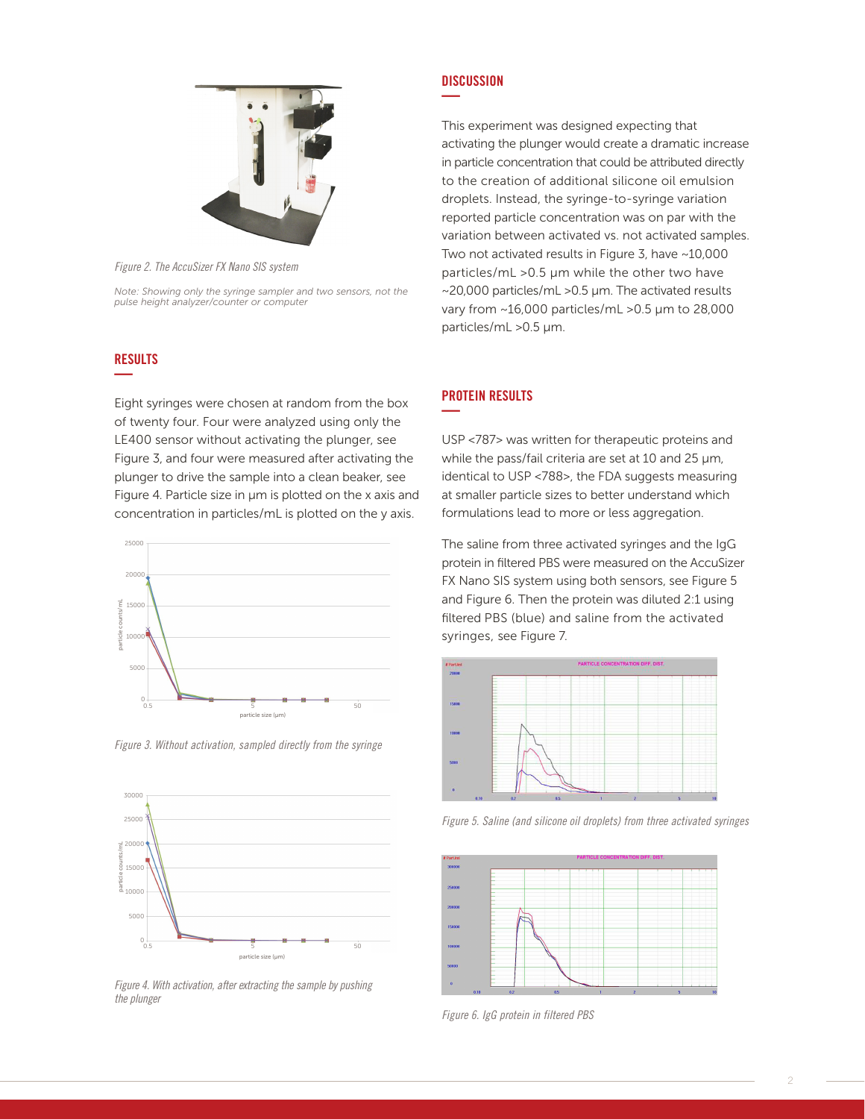

*Figure 2. The AccuSizer FX Nano SIS system*

*Note: Showing only the syringe sampler and two sensors, not the pulse height analyzer/counter or computer*

# RESULTS **—**

Eight syringes were chosen at random from the box of twenty four. Four were analyzed using only the LE400 sensor without activating the plunger, see Figure 3, and four were measured after activating the plunger to drive the sample into a clean beaker, see Figure 4. Particle size in μm is plotted on the x axis and concentration in particles/mL is plotted on the y axis.



*Figure 3. Without activation, sampled directly from the syringe*



*Figure 4. With activation, after extracting the sample by pushing the plunger*

#### **DISCUSSION —**

This experiment was designed expecting that activating the plunger would create a dramatic increase in particle concentration that could be attributed directly to the creation of additional silicone oil emulsion droplets. Instead, the syringe-to-syringe variation reported particle concentration was on par with the variation between activated vs. not activated samples. Two not activated results in Figure 3, have ~10,000 particles/mL >0.5 μm while the other two have ~20,000 particles/mL >0.5 μm. The activated results vary from ~16,000 particles/mL >0.5 μm to 28,000 particles/mL >0.5 μm.

## PROTEIN RESULTS **—**

USP <787> was written for therapeutic proteins and while the pass/fail criteria are set at 10 and 25 μm, identical to USP <788>, the FDA suggests measuring at smaller particle sizes to better understand which formulations lead to more or less aggregation.

The saline from three activated syringes and the IgG protein in filtered PBS were measured on the AccuSizer FX Nano SIS system using both sensors, see Figure 5 and Figure 6. Then the protein was diluted 2:1 using filtered PBS (blue) and saline from the activated syringes, see Figure 7.



*Figure 5. Saline (and silicone oil droplets) from three activated syringes*



*Figure 6. IgG protein in filtered PBS*